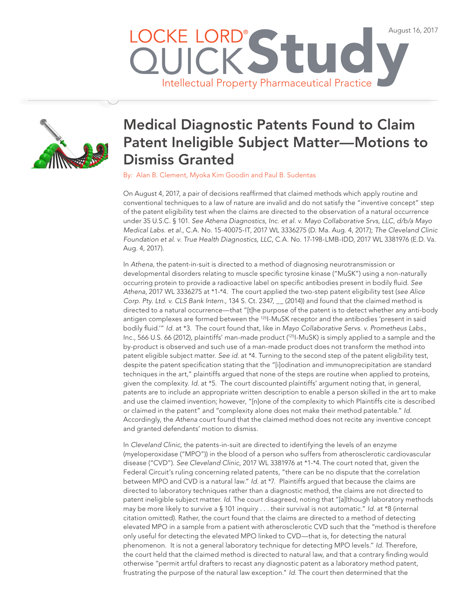



## Medical Diagnostic Patents Found to Claim Patent Ineligible Subject Matter—Motions to Dismiss Granted

By: [Alan B. Clement,](http://www.lockelord.com/professionals/c/clement-alan-b) [Myoka Kim Goodin](http://www.lockelord.com/professionals/g/goodin-myoka-kim) and [Paul B. Sudentas](http://www.lockelord.com/professionals/s/sudentas-paul)

On August 4, 2017, a pair of decisions reaffirmed that claimed methods which apply routine and conventional techniques to a law of nature are invalid and do not satisfy the "inventive concept" step of the patent eligibility test when the claims are directed to the observation of a natural occurrence under 35 U.S.C. § 101. *See Athena Diagnostics, Inc. et al. v. Mayo Collaborative Srvs, LLC, d/b/a Mayo Medical Labs. et al.*, C.A. No. 15-40075-IT, 2017 WL 3336275 (D. Ma. Aug. 4, 2017); *The Cleveland Clinic Foundation et al. v. True Health Diagnostics, LLC*, C.A. No. 17-198-LMB-IDD, 2017 WL 3381976 (E.D. Va. Aug. 4, 2017).

In *Athena*, the patent-in-suit is directed to a method of diagnosing neurotransmission or developmental disorders relating to muscle specific tyrosine kinase ("MuSK") using a non-naturally occurring protein to provide a radioactive label on specific antibodies present in bodily fluid. *See Athena*, 2017 WL 3336275 at \*1-\*4. The court applied the two-step patent eligibility test (*see Alice Corp. Pty. Ltd. v. CLS Bank Intern.*, 134 S. Ct. 2347, \_\_ (2014)) and found that the claimed method is directed to a natural occurrence—that "[t]he purpose of the patent is to detect whether any anti-body antigen complexes are formed between the 125I-MuSK receptor and the antibodies 'present in said bodily fluid.'" *Id.* at \*3. The court found that, like in *Mayo Collaborative Servs. v. Prometheus Labs.*, Inc., 566 U.S. 66 (2012), plaintiffs' man-made product (125I-MuSK) is simply applied to a sample and the by-product is observed and such use of a man-made product does not transform the method into patent eligible subject matter. *See id.* at \*4. Turning to the second step of the patent eligibility test, despite the patent specification stating that the "[i]odination and immunoprecipitation are standard techniques in the art," plaintiffs argued that none of the steps are routine when applied to proteins, given the complexity. *Id.* at \*5. The court discounted plaintiffs' argument noting that, in general, patents are to include an appropriate written description to enable a person skilled in the art to make and use the claimed invention; however, "[n]one of the complexity to which Plaintiffs cite is described or claimed in the patent" and "complexity alone does not make their method patentable." *Id.* Accordingly, the *Athena* court found that the claimed method does not recite any inventive concept and granted defendants' motion to dismiss.

In *Cleveland Clinic*, the patents-in-suit are directed to identifying the levels of an enzyme (myeloperoxidase ("MPO")) in the blood of a person who suffers from atherosclerotic cardiovascular disease ("CVD"). *See Cleveland Clinic*, 2017 WL 3381976 at \*1-\*4. The court noted that, given the Federal Circuit's ruling concerning related patents, "there can be no dispute that the correlation between MPO and CVD is a natural law." *Id.* at \*7. Plaintiffs argued that because the claims are directed to laboratory techniques rather than a diagnostic method, the claims are not directed to patent ineligible subject matter. *Id.* The court disagreed, noting that "[a]lthough laboratory methods may be more likely to survive a § 101 inquiry . . . their survival is not automatic." *Id*. at \*8 (internal citation omitted). Rather, the court found that the claims are directed to a method of detecting elevated MPO in a sample from a patient with atherosclerotic CVD such that the "method is therefore only useful for detecting the elevated MPO linked to CVD—that is, for detecting the natural phenomenon. It is not a general laboratory technique for detecting MPO levels." *Id.* Therefore, the court held that the claimed method is directed to natural law, and that a contrary finding would otherwise "permit artful drafters to recast any diagnostic patent as a laboratory method patent, frustrating the purpose of the natural law exception." *Id.* The court then determined that the